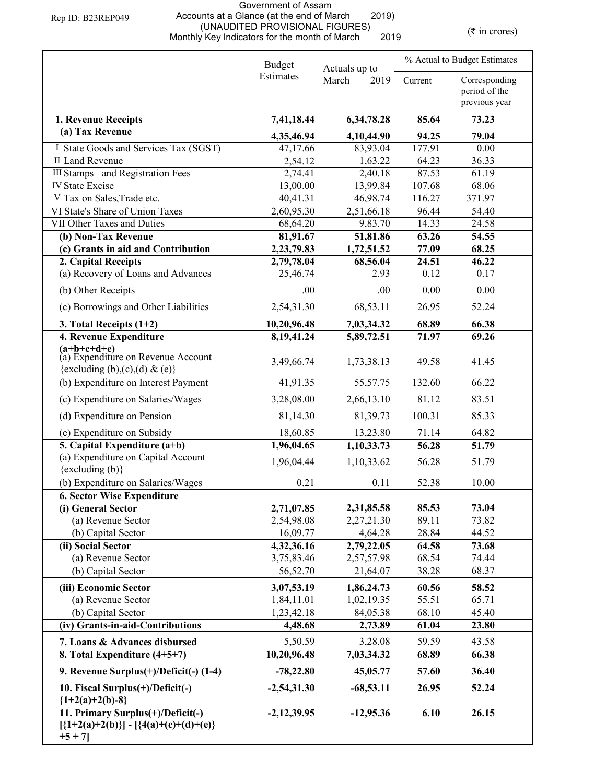## Government of Assam Accounts at a Glance (at the end of March 2019) (UNAUDITED PROVISIONAL FIGURES) Monthly Key Indicators for the month of March 2019

 $(\bar{\tau}$  in crores)

|                                                                                             | <b>Budget</b>          | Actuals up to         | % Actual to Budget Estimates |                                |
|---------------------------------------------------------------------------------------------|------------------------|-----------------------|------------------------------|--------------------------------|
|                                                                                             | Estimates              | March<br>2019         | Current                      | Corresponding                  |
|                                                                                             |                        |                       |                              | period of the<br>previous year |
|                                                                                             |                        |                       |                              |                                |
| 1. Revenue Receipts<br>(a) Tax Revenue                                                      | 7,41,18.44             | 6,34,78.28            | 85.64                        | 73.23                          |
|                                                                                             | 4,35,46.94             | 4,10,44.90            | 94.25                        | 79.04                          |
| I State Goods and Services Tax (SGST)                                                       | 47,17.66               | 83,93.04              | 177.91                       | 0.00                           |
| <b>II Land Revenue</b>                                                                      | 2,54.12                | 1,63.22               | 64.23                        | 36.33                          |
| <b>III Stamps</b> and Registration Fees                                                     | 2,74.41                | 2,40.18               | 87.53                        | 61.19                          |
| <b>IV State Excise</b>                                                                      | 13,00.00               | 13,99.84              | 107.68                       | 68.06                          |
| V Tax on Sales, Trade etc.                                                                  | 40,41.31               | 46,98.74              | 116.27                       | 371.97                         |
| VI State's Share of Union Taxes<br>VII Other Taxes and Duties                               | 2,60,95.30<br>68,64.20 | 2,51,66.18<br>9,83.70 | 96.44<br>14.33               | 54.40<br>24.58                 |
| (b) Non-Tax Revenue                                                                         | 81,91.67               | 51,81.86              | 63.26                        | 54.55                          |
| (c) Grants in aid and Contribution                                                          | 2,23,79.83             | 1,72,51.52            | 77.09                        | 68.25                          |
| 2. Capital Receipts                                                                         | 2,79,78.04             | 68,56.04              | 24.51                        | 46.22                          |
| (a) Recovery of Loans and Advances                                                          | 25,46.74               | 2.93                  | 0.12                         | 0.17                           |
|                                                                                             |                        |                       |                              |                                |
| (b) Other Receipts                                                                          | .00                    | .00                   | 0.00                         | 0.00                           |
| (c) Borrowings and Other Liabilities                                                        | 2,54,31.30             | 68,53.11              | 26.95                        | 52.24                          |
| 3. Total Receipts $(1+2)$                                                                   | 10,20,96.48            | 7,03,34.32            | 68.89                        | 66.38                          |
| 4. Revenue Expenditure<br>$(a+b+c+d+e)$                                                     | 8,19,41.24             | 5,89,72.51            | 71.97                        | 69.26                          |
| (a) Expenditure on Revenue Account                                                          |                        |                       | 49.58                        |                                |
| {excluding (b),(c),(d) & (e)}                                                               | 3,49,66.74             | 1,73,38.13            |                              | 41.45                          |
| (b) Expenditure on Interest Payment                                                         | 41,91.35               | 55,57.75              | 132.60                       | 66.22                          |
| (c) Expenditure on Salaries/Wages                                                           | 3,28,08.00             | 2,66,13.10            | 81.12                        | 83.51                          |
| (d) Expenditure on Pension                                                                  | 81,14.30               | 81,39.73              | 100.31                       | 85.33                          |
| (e) Expenditure on Subsidy                                                                  | 18,60.85               | 13,23.80              | 71.14                        | 64.82                          |
| 5. Capital Expenditure $(a+b)$                                                              | 1,96,04.65             | 1,10,33.73            | 56.28                        | 51.79                          |
| (a) Expenditure on Capital Account                                                          |                        |                       |                              |                                |
| $\{excluding (b)\}$                                                                         | 1,96,04.44             | 1,10,33.62            | 56.28                        | 51.79                          |
| (b) Expenditure on Salaries/Wages                                                           | 0.21                   | 0.11                  | 52.38                        | 10.00                          |
| <b>6. Sector Wise Expenditure</b>                                                           |                        |                       |                              |                                |
| (i) General Sector                                                                          | 2,71,07.85             | 2,31,85.58            | 85.53                        | 73.04                          |
| (a) Revenue Sector                                                                          | 2,54,98.08             | 2,27,21.30            | 89.11                        | 73.82                          |
| (b) Capital Sector                                                                          | 16,09.77               | 4,64.28               | 28.84                        | 44.52                          |
| (ii) Social Sector                                                                          | 4,32,36.16             | 2,79,22.05            | 64.58                        | 73.68                          |
| (a) Revenue Sector                                                                          | 3,75,83.46             | 2,57,57.98            | 68.54                        | 74.44                          |
| (b) Capital Sector                                                                          | 56,52.70               | 21,64.07              | 38.28                        | 68.37                          |
| (iii) Economic Sector                                                                       | 3,07,53.19             | 1,86,24.73            | 60.56                        | 58.52                          |
| (a) Revenue Sector                                                                          | 1,84,11.01             | 1,02,19.35            | 55.51                        | 65.71                          |
| (b) Capital Sector                                                                          | 1,23,42.18             | 84,05.38              | 68.10                        | 45.40                          |
| (iv) Grants-in-aid-Contributions                                                            | 4,48.68                | 2,73.89               | 61.04                        | 23.80                          |
| 7. Loans & Advances disbursed                                                               | 5,50.59                | 3,28.08               | 59.59                        | 43.58                          |
| 8. Total Expenditure $(4+5+7)$                                                              | 10,20,96.48            | 7,03,34.32            | 68.89                        | 66.38                          |
| 9. Revenue Surplus(+)/Deficit(-) (1-4)                                                      | $-78,22.80$            | 45,05.77              | 57.60                        | 36.40                          |
| 10. Fiscal Surplus(+)/Deficit(-)<br>${1+2(a)+2(b)-8}$                                       | $-2,54,31.30$          | $-68,53.11$           | 26.95                        | 52.24                          |
| 11. Primary Surplus(+)/Deficit(-)<br>$[{1+2(a)+2(b)}] - [{4(a)+(c)+(d)+(e)}]$<br>$+5 + 7$ ] | $-2,12,39.95$          | $-12,95.36$           | 6.10                         | 26.15                          |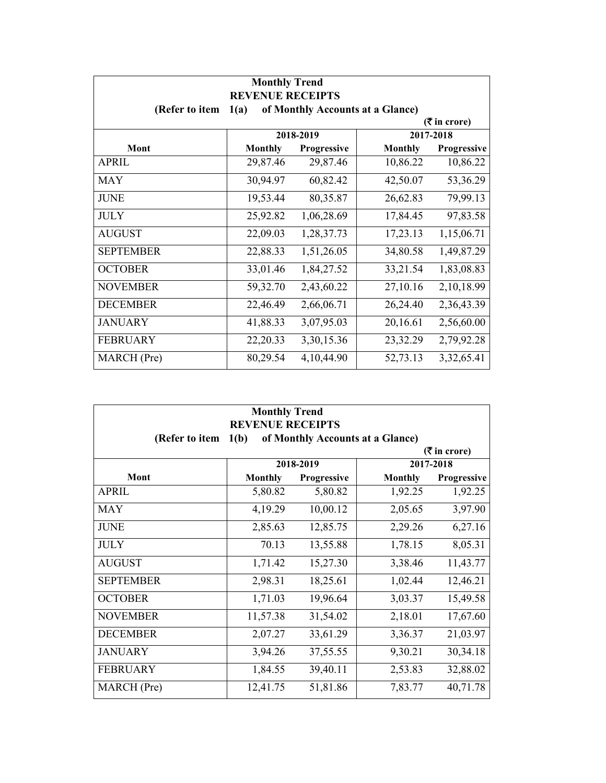| <b>Monthly Trend</b><br><b>REVENUE RECEIPTS</b>            |                |             |                |               |  |
|------------------------------------------------------------|----------------|-------------|----------------|---------------|--|
| (Refer to item<br>of Monthly Accounts at a Glance)<br>1(a) |                |             |                |               |  |
| $(3\overline{5})$ in crore)                                |                |             |                |               |  |
|                                                            |                | 2018-2019   |                | 2017-2018     |  |
| Mont                                                       | <b>Monthly</b> | Progressive | <b>Monthly</b> | Progressive   |  |
| <b>APRIL</b>                                               | 29,87.46       | 29,87.46    | 10,86.22       | 10,86.22      |  |
| <b>MAY</b>                                                 | 30,94.97       | 60,82.42    | 42,50.07       | 53,36.29      |  |
| <b>JUNE</b>                                                | 19,53.44       | 80,35.87    | 26,62.83       | 79,99.13      |  |
| <b>JULY</b>                                                | 25,92.82       | 1,06,28.69  | 17,84.45       | 97,83.58      |  |
| <b>AUGUST</b>                                              | 22,09.03       | 1,28,37.73  | 17,23.13       | 1,15,06.71    |  |
| <b>SEPTEMBER</b>                                           | 22,88.33       | 1,51,26.05  | 34,80.58       | 1,49,87.29    |  |
| <b>OCTOBER</b>                                             | 33,01.46       | 1,84,27.52  | 33,21.54       | 1,83,08.83    |  |
| <b>NOVEMBER</b>                                            | 59,32.70       | 2,43,60.22  | 27,10.16       | 2,10,18.99    |  |
| <b>DECEMBER</b>                                            | 22,46.49       | 2,66,06.71  | 26,24.40       | 2,36,43.39    |  |
| <b>JANUARY</b>                                             | 41,88.33       | 3,07,95.03  | 20,16.61       | 2,56,60.00    |  |
| <b>FEBRUARY</b>                                            | 22,20.33       | 3,30,15.36  | 23,32.29       | 2,79,92.28    |  |
| MARCH (Pre)                                                | 80,29.54       | 4,10,44.90  | 52,73.13       | 3, 32, 65. 41 |  |

| <b>Monthly Trend</b><br><b>REVENUE RECEIPTS</b>            |                |             |                |             |  |
|------------------------------------------------------------|----------------|-------------|----------------|-------------|--|
| 1(b)<br>of Monthly Accounts at a Glance)<br>(Refer to item |                |             |                |             |  |
| $(5 \text{ in } \text{core})$<br>2018-2019<br>2017-2018    |                |             |                |             |  |
| Mont                                                       | <b>Monthly</b> | Progressive | <b>Monthly</b> | Progressive |  |
| <b>APRIL</b>                                               | 5,80.82        | 5,80.82     | 1,92.25        | 1,92.25     |  |
| <b>MAY</b>                                                 | 4,19.29        | 10,00.12    | 2,05.65        | 3,97.90     |  |
| <b>JUNE</b>                                                | 2,85.63        | 12,85.75    | 2,29.26        | 6,27.16     |  |
| <b>JULY</b>                                                | 70.13          | 13,55.88    | 1,78.15        | 8,05.31     |  |
| <b>AUGUST</b>                                              | 1,71.42        | 15,27.30    | 3,38.46        | 11,43.77    |  |
| <b>SEPTEMBER</b>                                           | 2,98.31        | 18,25.61    | 1,02.44        | 12,46.21    |  |
| <b>OCTOBER</b>                                             | 1,71.03        | 19,96.64    | 3,03.37        | 15,49.58    |  |
| <b>NOVEMBER</b>                                            | 11,57.38       | 31,54.02    | 2,18.01        | 17,67.60    |  |
| <b>DECEMBER</b>                                            | 2,07.27        | 33,61.29    | 3,36.37        | 21,03.97    |  |
| <b>JANUARY</b>                                             | 3,94.26        | 37,55.55    | 9,30.21        | 30,34.18    |  |
| <b>FEBRUARY</b>                                            | 1,84.55        | 39,40.11    | 2,53.83        | 32,88.02    |  |
| MARCH (Pre)                                                | 12,41.75       | 51,81.86    | 7,83.77        | 40,71.78    |  |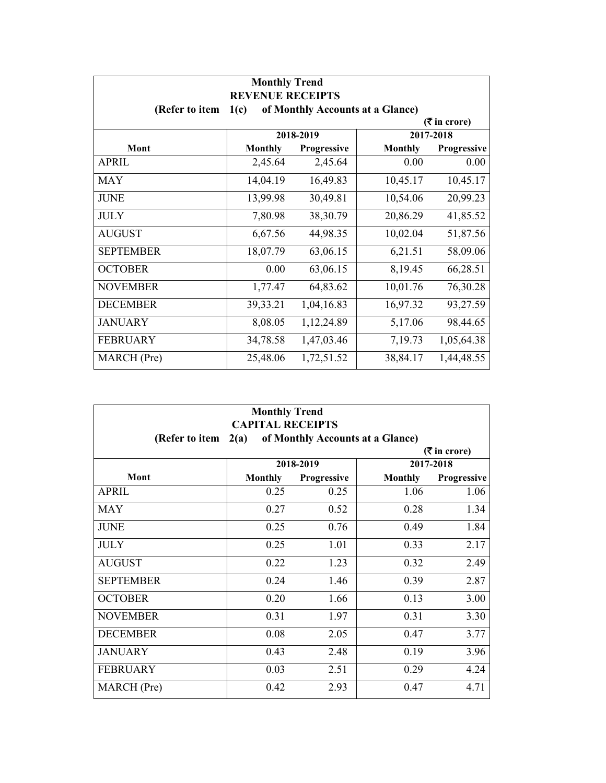| <b>Monthly Trend</b><br><b>REVENUE RECEIPTS</b>            |                                                       |              |                |             |  |
|------------------------------------------------------------|-------------------------------------------------------|--------------|----------------|-------------|--|
| (Refer to item<br>of Monthly Accounts at a Glance)<br>1(c) |                                                       |              |                |             |  |
|                                                            | $(3\overline{5})$ in crore)<br>2018-2019<br>2017-2018 |              |                |             |  |
|                                                            |                                                       |              |                |             |  |
| Mont                                                       | <b>Monthly</b>                                        | Progressive  | <b>Monthly</b> | Progressive |  |
| <b>APRIL</b>                                               | 2,45.64                                               | 2,45.64      | 0.00           | 0.00        |  |
| <b>MAY</b>                                                 | 14,04.19                                              | 16,49.83     | 10,45.17       | 10,45.17    |  |
| <b>JUNE</b>                                                | 13,99.98                                              | 30,49.81     | 10,54.06       | 20,99.23    |  |
| <b>JULY</b>                                                | 7,80.98                                               | 38,30.79     | 20,86.29       | 41,85.52    |  |
| <b>AUGUST</b>                                              | 6,67.56                                               | 44,98.35     | 10,02.04       | 51,87.56    |  |
| <b>SEPTEMBER</b>                                           | 18,07.79                                              | 63,06.15     | 6,21.51        | 58,09.06    |  |
| <b>OCTOBER</b>                                             | 0.00                                                  | 63,06.15     | 8,19.45        | 66,28.51    |  |
| <b>NOVEMBER</b>                                            | 1,77.47                                               | 64,83.62     | 10,01.76       | 76,30.28    |  |
| <b>DECEMBER</b>                                            | 39, 33. 21                                            | 1,04,16.83   | 16,97.32       | 93,27.59    |  |
| <b>JANUARY</b>                                             | 8,08.05                                               | 1, 12, 24.89 | 5,17.06        | 98,44.65    |  |
| <b>FEBRUARY</b>                                            | 34,78.58                                              | 1,47,03.46   | 7,19.73        | 1,05,64.38  |  |
| MARCH (Pre)                                                | 25,48.06                                              | 1,72,51.52   | 38,84.17       | 1,44,48.55  |  |

| <b>Monthly Trend</b><br><b>CAPITAL RECEIPTS</b>            |                               |                    |                |             |  |
|------------------------------------------------------------|-------------------------------|--------------------|----------------|-------------|--|
| of Monthly Accounts at a Glance)<br>(Refer to item<br>2(a) |                               |                    |                |             |  |
|                                                            | $(5 \text{ in } \text{core})$ |                    |                |             |  |
|                                                            |                               | 2018-2019          |                | 2017-2018   |  |
| Mont                                                       | <b>Monthly</b>                | <b>Progressive</b> | <b>Monthly</b> | Progressive |  |
| <b>APRIL</b>                                               | 0.25                          | 0.25               | 1.06           | 1.06        |  |
| <b>MAY</b>                                                 | 0.27                          | 0.52               | 0.28           | 1.34        |  |
| <b>JUNE</b>                                                | 0.25                          | 0.76               | 0.49           | 1.84        |  |
| <b>JULY</b>                                                | 0.25                          | 1.01               | 0.33           | 2.17        |  |
| <b>AUGUST</b>                                              | 0.22                          | 1.23               | 0.32           | 2.49        |  |
| <b>SEPTEMBER</b>                                           | 0.24                          | 1.46               | 0.39           | 2.87        |  |
| <b>OCTOBER</b>                                             | 0.20                          | 1.66               | 0.13           | 3.00        |  |
| <b>NOVEMBER</b>                                            | 0.31                          | 1.97               | 0.31           | 3.30        |  |
| <b>DECEMBER</b>                                            | 0.08                          | 2.05               | 0.47           | 3.77        |  |
| <b>JANUARY</b>                                             | 0.43                          | 2.48               | 0.19           | 3.96        |  |
| <b>FEBRUARY</b>                                            | 0.03                          | 2.51               | 0.29           | 4.24        |  |
| MARCH (Pre)                                                | 0.42                          | 2.93               | 0.47           | 4.71        |  |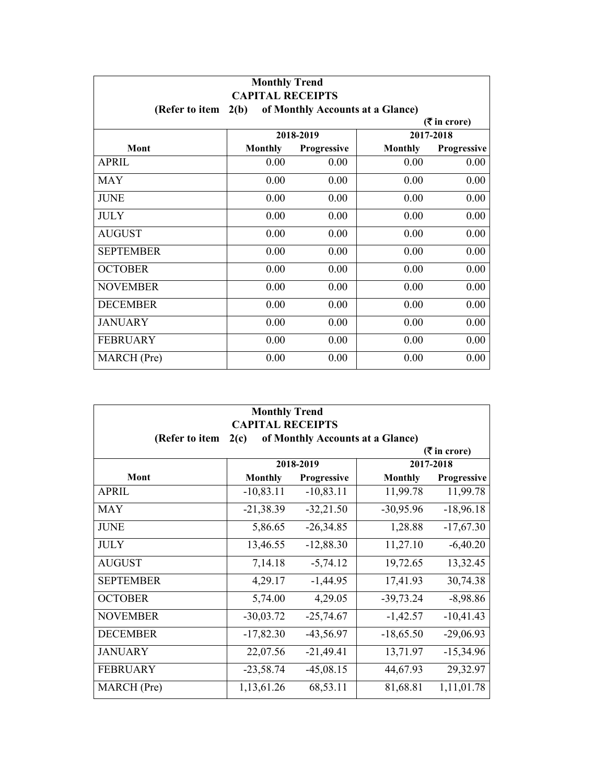| <b>Monthly Trend</b><br><b>CAPITAL RECEIPTS</b> |                                          |                    |         |                             |  |  |
|-------------------------------------------------|------------------------------------------|--------------------|---------|-----------------------------|--|--|
| (Refer to item                                  | 2(b)<br>of Monthly Accounts at a Glance) |                    |         |                             |  |  |
|                                                 |                                          |                    |         | $(3\overline{5})$ in crore) |  |  |
|                                                 |                                          | 2018-2019          |         | 2017-2018                   |  |  |
| Mont                                            | <b>Monthly</b>                           | <b>Progressive</b> | Monthly | Progressive                 |  |  |
| <b>APRIL</b>                                    | 0.00                                     | 0.00               | 0.00    | 0.00                        |  |  |
| <b>MAY</b>                                      | 0.00                                     | 0.00               | 0.00    | 0.00                        |  |  |
| <b>JUNE</b>                                     | 0.00                                     | 0.00               | 0.00    | 0.00                        |  |  |
| <b>JULY</b>                                     | 0.00                                     | 0.00               | 0.00    | 0.00                        |  |  |
| <b>AUGUST</b>                                   | 0.00                                     | 0.00               | 0.00    | 0.00                        |  |  |
| <b>SEPTEMBER</b>                                | 0.00                                     | 0.00               | 0.00    | 0.00                        |  |  |
| <b>OCTOBER</b>                                  | 0.00                                     | 0.00               | 0.00    | 0.00                        |  |  |
| <b>NOVEMBER</b>                                 | 0.00                                     | 0.00               | 0.00    | 0.00                        |  |  |
| <b>DECEMBER</b>                                 | 0.00                                     | 0.00               | 0.00    | 0.00                        |  |  |
| <b>JANUARY</b>                                  | 0.00                                     | 0.00               | 0.00    | 0.00                        |  |  |
| <b>FEBRUARY</b>                                 | 0.00                                     | 0.00               | 0.00    | 0.00                        |  |  |
| MARCH (Pre)                                     | 0.00                                     | 0.00               | 0.00    | 0.00                        |  |  |

| <b>Monthly Trend</b><br><b>CAPITAL RECEIPTS</b>            |                |             |                |             |  |
|------------------------------------------------------------|----------------|-------------|----------------|-------------|--|
| of Monthly Accounts at a Glance)<br>(Refer to item<br>2(c) |                |             |                |             |  |
| $(5 \text{ in } \text{core})$                              |                |             |                |             |  |
|                                                            |                | 2018-2019   |                | 2017-2018   |  |
| Mont                                                       | <b>Monthly</b> | Progressive | <b>Monthly</b> | Progressive |  |
| <b>APRIL</b>                                               | $-10,83.11$    | $-10,83.11$ | 11,99.78       | 11,99.78    |  |
| <b>MAY</b>                                                 | $-21,38.39$    | $-32,21.50$ | $-30,95.96$    | $-18,96.18$ |  |
| <b>JUNE</b>                                                | 5,86.65        | $-26,34.85$ | 1,28.88        | $-17,67.30$ |  |
| <b>JULY</b>                                                | 13,46.55       | $-12,88.30$ | 11,27.10       | $-6,40.20$  |  |
| <b>AUGUST</b>                                              | 7,14.18        | $-5,74.12$  | 19,72.65       | 13,32.45    |  |
| <b>SEPTEMBER</b>                                           | 4,29.17        | $-1,44.95$  | 17,41.93       | 30,74.38    |  |
| <b>OCTOBER</b>                                             | 5,74.00        | 4,29.05     | $-39,73.24$    | $-8,98.86$  |  |
| <b>NOVEMBER</b>                                            | $-30,03.72$    | $-25,74.67$ | $-1,42.57$     | $-10,41.43$ |  |
| <b>DECEMBER</b>                                            | $-17,82.30$    | $-43,56.97$ | $-18,65.50$    | $-29,06.93$ |  |
| <b>JANUARY</b>                                             | 22,07.56       | $-21,49.41$ | 13,71.97       | $-15,34.96$ |  |
| <b>FEBRUARY</b>                                            | $-23,58.74$    | $-45,08.15$ | 44,67.93       | 29,32.97    |  |
| MARCH (Pre)                                                | 1,13,61.26     | 68,53.11    | 81,68.81       | 1,11,01.78  |  |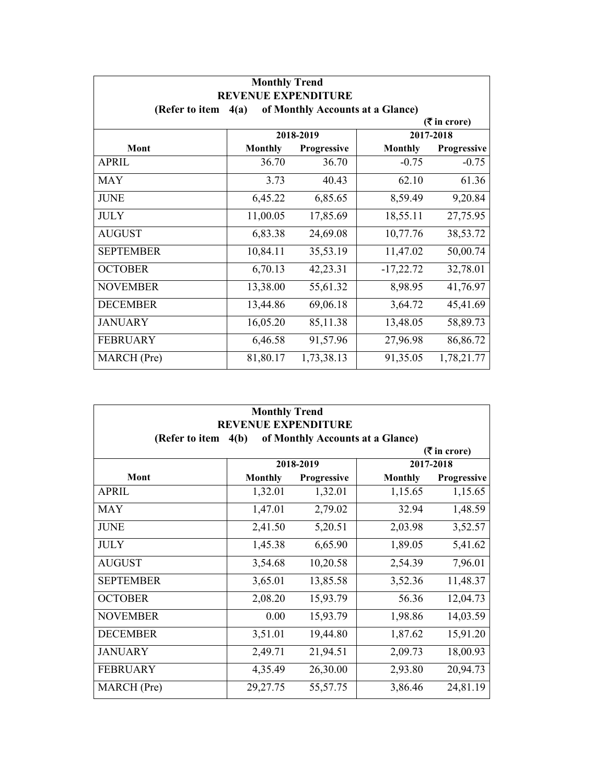| <b>Monthly Trend</b><br><b>REVENUE EXPENDITURE</b>         |                 |             |                |             |  |  |
|------------------------------------------------------------|-----------------|-------------|----------------|-------------|--|--|
| (Refer to item<br>of Monthly Accounts at a Glance)<br>4(a) |                 |             |                |             |  |  |
|                                                            | $($ ₹ in crore) |             |                |             |  |  |
|                                                            |                 | 2018-2019   |                | 2017-2018   |  |  |
| Mont                                                       | <b>Monthly</b>  | Progressive | <b>Monthly</b> | Progressive |  |  |
| <b>APRIL</b>                                               | 36.70           | 36.70       | $-0.75$        | $-0.75$     |  |  |
| <b>MAY</b>                                                 | 3.73            | 40.43       | 62.10          | 61.36       |  |  |
| <b>JUNE</b>                                                | 6,45.22         | 6,85.65     | 8,59.49        | 9,20.84     |  |  |
| <b>JULY</b>                                                | 11,00.05        | 17,85.69    | 18,55.11       | 27,75.95    |  |  |
| <b>AUGUST</b>                                              | 6,83.38         | 24,69.08    | 10,77.76       | 38,53.72    |  |  |
| <b>SEPTEMBER</b>                                           | 10,84.11        | 35,53.19    | 11,47.02       | 50,00.74    |  |  |
| <b>OCTOBER</b>                                             | 6,70.13         | 42,23.31    | $-17,22.72$    | 32,78.01    |  |  |
| <b>NOVEMBER</b>                                            | 13,38.00        | 55,61.32    | 8,98.95        | 41,76.97    |  |  |
| <b>DECEMBER</b>                                            | 13,44.86        | 69,06.18    | 3,64.72        | 45,41.69    |  |  |
| <b>JANUARY</b>                                             | 16,05.20        | 85,11.38    | 13,48.05       | 58,89.73    |  |  |
| <b>FEBRUARY</b>                                            | 6,46.58         | 91,57.96    | 27,96.98       | 86,86.72    |  |  |
| MARCH (Pre)                                                | 81,80.17        | 1,73,38.13  | 91,35.05       | 1,78,21.77  |  |  |

| <b>Monthly Trend</b>                                                                     |                |             |                |             |  |
|------------------------------------------------------------------------------------------|----------------|-------------|----------------|-------------|--|
| <b>REVENUE EXPENDITURE</b><br>of Monthly Accounts at a Glance)<br>(Refer to item<br>4(b) |                |             |                |             |  |
| $(3\overline{5})$ in crore)                                                              |                |             |                |             |  |
|                                                                                          |                | 2018-2019   |                | 2017-2018   |  |
| Mont                                                                                     | <b>Monthly</b> | Progressive | <b>Monthly</b> | Progressive |  |
| <b>APRIL</b>                                                                             | 1,32.01        | 1,32.01     | 1,15.65        | 1,15.65     |  |
| <b>MAY</b>                                                                               | 1,47.01        | 2,79.02     | 32.94          | 1,48.59     |  |
| <b>JUNE</b>                                                                              | 2,41.50        | 5,20.51     | 2,03.98        | 3,52.57     |  |
| <b>JULY</b>                                                                              | 1,45.38        | 6,65.90     | 1,89.05        | 5,41.62     |  |
| <b>AUGUST</b>                                                                            | 3,54.68        | 10,20.58    | 2,54.39        | 7,96.01     |  |
| <b>SEPTEMBER</b>                                                                         | 3,65.01        | 13,85.58    | 3,52.36        | 11,48.37    |  |
| <b>OCTOBER</b>                                                                           | 2,08.20        | 15,93.79    | 56.36          | 12,04.73    |  |
| <b>NOVEMBER</b>                                                                          | 0.00           | 15,93.79    | 1,98.86        | 14,03.59    |  |
| <b>DECEMBER</b>                                                                          | 3,51.01        | 19,44.80    | 1,87.62        | 15,91.20    |  |
| <b>JANUARY</b>                                                                           | 2,49.71        | 21,94.51    | 2,09.73        | 18,00.93    |  |
| <b>FEBRUARY</b>                                                                          | 4,35.49        | 26,30.00    | 2,93.80        | 20,94.73    |  |
| MARCH (Pre)                                                                              | 29, 27. 75     | 55,57.75    | 3,86.46        | 24,81.19    |  |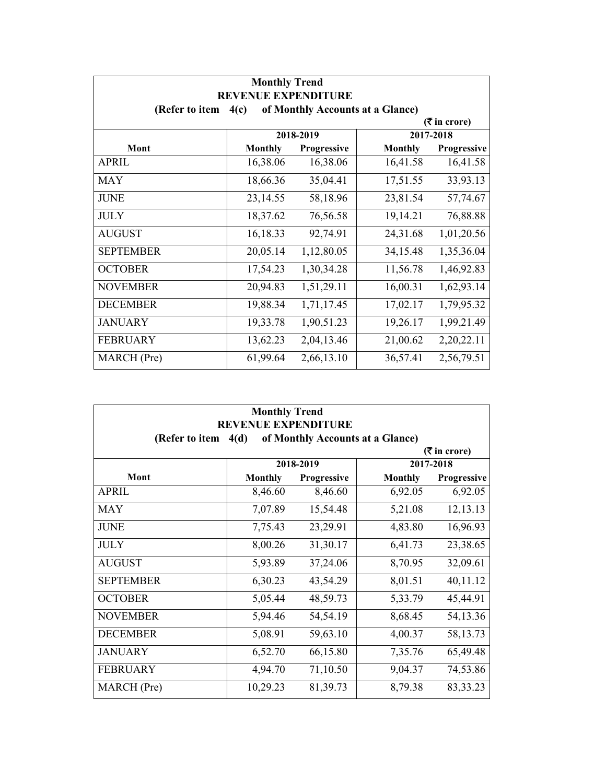| <b>Monthly Trend</b><br><b>REVENUE EXPENDITURE</b>         |                |             |                |             |  |
|------------------------------------------------------------|----------------|-------------|----------------|-------------|--|
| of Monthly Accounts at a Glance)<br>(Refer to item<br>4(c) |                |             |                |             |  |
| $(3\overline{5})$ in crore)                                |                |             |                |             |  |
|                                                            |                | 2018-2019   |                | 2017-2018   |  |
| Mont                                                       | <b>Monthly</b> | Progressive | <b>Monthly</b> | Progressive |  |
| <b>APRIL</b>                                               | 16,38.06       | 16,38.06    | 16,41.58       | 16,41.58    |  |
| <b>MAY</b>                                                 | 18,66.36       | 35,04.41    | 17,51.55       | 33,93.13    |  |
| <b>JUNE</b>                                                | 23,14.55       | 58,18.96    | 23,81.54       | 57,74.67    |  |
| <b>JULY</b>                                                | 18,37.62       | 76,56.58    | 19,14.21       | 76,88.88    |  |
| <b>AUGUST</b>                                              | 16,18.33       | 92,74.91    | 24,31.68       | 1,01,20.56  |  |
| <b>SEPTEMBER</b>                                           | 20,05.14       | 1,12,80.05  | 34,15.48       | 1,35,36.04  |  |
| <b>OCTOBER</b>                                             | 17,54.23       | 1,30,34.28  | 11,56.78       | 1,46,92.83  |  |
| <b>NOVEMBER</b>                                            | 20,94.83       | 1,51,29.11  | 16,00.31       | 1,62,93.14  |  |
| <b>DECEMBER</b>                                            | 19,88.34       | 1,71,17.45  | 17,02.17       | 1,79,95.32  |  |
| <b>JANUARY</b>                                             | 19,33.78       | 1,90,51.23  | 19,26.17       | 1,99,21.49  |  |
| <b>FEBRUARY</b>                                            | 13,62.23       | 2,04,13.46  | 21,00.62       | 2,20,22.11  |  |
| MARCH (Pre)                                                | 61,99.64       | 2,66,13.10  | 36,57.41       | 2,56,79.51  |  |

| <b>Monthly Trend</b><br><b>REVENUE EXPENDITURE</b>         |                |             |                |                             |  |
|------------------------------------------------------------|----------------|-------------|----------------|-----------------------------|--|
| of Monthly Accounts at a Glance)<br>(Refer to item<br>4(d) |                |             |                |                             |  |
|                                                            |                |             |                | $(3\overline{5})$ in crore) |  |
|                                                            |                | 2018-2019   |                | 2017-2018                   |  |
| Mont                                                       | <b>Monthly</b> | Progressive | <b>Monthly</b> | Progressive                 |  |
| <b>APRIL</b>                                               | 8,46.60        | 8,46.60     | 6,92.05        | 6,92.05                     |  |
| <b>MAY</b>                                                 | 7,07.89        | 15,54.48    | 5,21.08        | 12,13.13                    |  |
| <b>JUNE</b>                                                | 7,75.43        | 23,29.91    | 4,83.80        | 16,96.93                    |  |
| <b>JULY</b>                                                | 8,00.26        | 31,30.17    | 6,41.73        | 23,38.65                    |  |
| <b>AUGUST</b>                                              | 5,93.89        | 37,24.06    | 8,70.95        | 32,09.61                    |  |
| <b>SEPTEMBER</b>                                           | 6,30.23        | 43,54.29    | 8,01.51        | 40,11.12                    |  |
| <b>OCTOBER</b>                                             | 5,05.44        | 48,59.73    | 5,33.79        | 45,44.91                    |  |
| <b>NOVEMBER</b>                                            | 5,94.46        | 54,54.19    | 8,68.45        | 54,13.36                    |  |
| <b>DECEMBER</b>                                            | 5,08.91        | 59,63.10    | 4,00.37        | 58, 13. 73                  |  |
| <b>JANUARY</b>                                             | 6,52.70        | 66,15.80    | 7,35.76        | 65,49.48                    |  |
| <b>FEBRUARY</b>                                            | 4,94.70        | 71,10.50    | 9,04.37        | 74,53.86                    |  |
| MARCH (Pre)                                                | 10,29.23       | 81, 39. 73  | 8,79.38        | 83, 33. 23                  |  |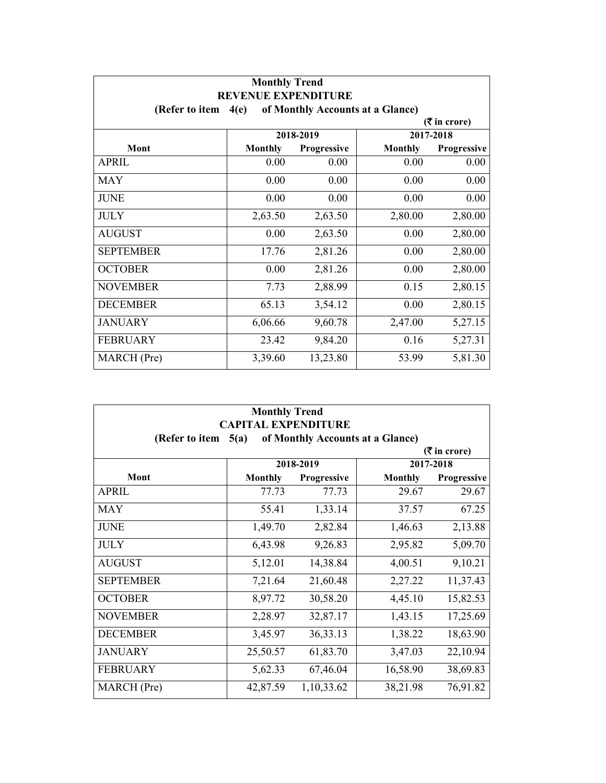| <b>Monthly Trend</b><br><b>REVENUE EXPENDITURE</b>         |                |             |                |                             |  |
|------------------------------------------------------------|----------------|-------------|----------------|-----------------------------|--|
| of Monthly Accounts at a Glance)<br>(Refer to item<br>4(e) |                |             |                |                             |  |
|                                                            |                |             |                | $(3\overline{5})$ in crore) |  |
|                                                            |                | 2018-2019   |                | 2017-2018                   |  |
| Mont                                                       | <b>Monthly</b> | Progressive | <b>Monthly</b> | Progressive                 |  |
| <b>APRIL</b>                                               | 0.00           | 0.00        | 0.00           | 0.00                        |  |
| <b>MAY</b>                                                 | 0.00           | 0.00        | 0.00           | 0.00                        |  |
| <b>JUNE</b>                                                | 0.00           | 0.00        | 0.00           | 0.00                        |  |
| <b>JULY</b>                                                | 2,63.50        | 2,63.50     | 2,80.00        | 2,80.00                     |  |
| <b>AUGUST</b>                                              | 0.00           | 2,63.50     | 0.00           | 2,80.00                     |  |
| <b>SEPTEMBER</b>                                           | 17.76          | 2,81.26     | 0.00           | 2,80.00                     |  |
| <b>OCTOBER</b>                                             | 0.00           | 2,81.26     | 0.00           | 2,80.00                     |  |
| <b>NOVEMBER</b>                                            | 7.73           | 2,88.99     | 0.15           | 2,80.15                     |  |
| <b>DECEMBER</b>                                            | 65.13          | 3,54.12     | 0.00           | 2,80.15                     |  |
| <b>JANUARY</b>                                             | 6,06.66        | 9,60.78     | 2,47.00        | 5,27.15                     |  |
| <b>FEBRUARY</b>                                            | 23.42          | 9,84.20     | 0.16           | 5,27.31                     |  |
| <b>MARCH</b> (Pre)                                         | 3,39.60        | 13,23.80    | 53.99          | 5,81.30                     |  |

| <b>Monthly Trend</b><br><b>CAPITAL EXPENDITURE</b><br>of Monthly Accounts at a Glance)<br>(Refer to item<br>5(a) |                |             |                |             |  |  |  |
|------------------------------------------------------------------------------------------------------------------|----------------|-------------|----------------|-------------|--|--|--|
|                                                                                                                  |                |             |                |             |  |  |  |
|                                                                                                                  | 2018-2019      |             |                | 2017-2018   |  |  |  |
| Mont                                                                                                             | <b>Monthly</b> | Progressive | <b>Monthly</b> | Progressive |  |  |  |
| <b>APRIL</b>                                                                                                     | 77.73          | 77.73       | 29.67          | 29.67       |  |  |  |
| <b>MAY</b>                                                                                                       | 55.41          | 1,33.14     | 37.57          | 67.25       |  |  |  |
| <b>JUNE</b>                                                                                                      | 1,49.70        | 2,82.84     | 1,46.63        | 2,13.88     |  |  |  |
| <b>JULY</b>                                                                                                      | 6,43.98        | 9,26.83     | 2,95.82        | 5,09.70     |  |  |  |
| <b>AUGUST</b>                                                                                                    | 5,12.01        | 14,38.84    | 4,00.51        | 9,10.21     |  |  |  |
| <b>SEPTEMBER</b>                                                                                                 | 7,21.64        | 21,60.48    | 2,27.22        | 11,37.43    |  |  |  |
| <b>OCTOBER</b>                                                                                                   | 8,97.72        | 30,58.20    | 4,45.10        | 15,82.53    |  |  |  |
| <b>NOVEMBER</b>                                                                                                  | 2,28.97        | 32,87.17    | 1,43.15        | 17,25.69    |  |  |  |
| <b>DECEMBER</b>                                                                                                  | 3,45.97        | 36, 33. 13  | 1,38.22        | 18,63.90    |  |  |  |
| <b>JANUARY</b>                                                                                                   | 25,50.57       | 61,83.70    | 3,47.03        | 22,10.94    |  |  |  |
| <b>FEBRUARY</b>                                                                                                  | 5,62.33        | 67,46.04    | 16,58.90       | 38,69.83    |  |  |  |
| MARCH (Pre)                                                                                                      | 42,87.59       | 1,10,33.62  | 38,21.98       | 76,91.82    |  |  |  |